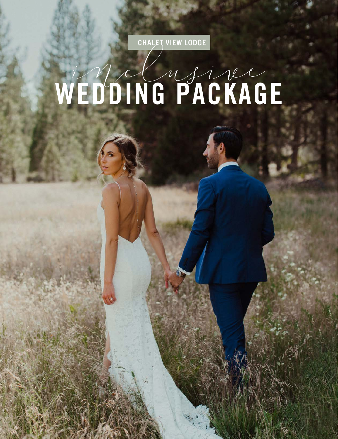CHALET VIEW LODGE

# WEDDING PACKAGE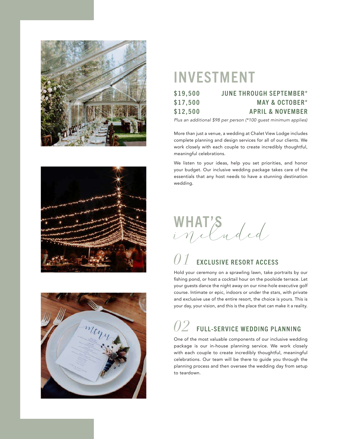





## INVESTMENT

| \$19,500 | <b>JUNE THROUGH SEPTEMBER*</b> |
|----------|--------------------------------|
| \$17,500 | <b>MAY &amp; OCTOBER*</b>      |
| \$12,500 | <b>APRIL &amp; NOVEMBER</b>    |

*Plus an additional \$98 per person (\*100 guest minimum applies)*

More than just a venue, a wedding at Chalet View Lodge includes complete planning and design services for all of our clients. We work closely with each couple to create incredibly thoughtful, meaningful celebrations.

We listen to your ideas, help you set priorities, and honor your budget. Our inclusive wedding package takes care of the essentials that any host needs to have a stunning destination wedding.

WHAT'S

## **EXCLUSIVE RESORT ACCESS**

Hold your ceremony on a sprawling lawn, take portraits by our fishing pond, or host a cocktail hour on the poolside terrace. Let your guests dance the night away on our nine-hole executive golf course. Intimate or epic, indoors or under the stars, with private and exclusive use of the entire resort, the choice is yours. This is your day, your vision, and this is the place that can make it a reality.

## *02* FULL-SERVICE WEDDING PLANNING

One of the most valuable components of our inclusive wedding package is our in-house planning service. We work closely with each couple to create incredibly thoughtful, meaningful celebrations. Our team will be there to guide you through the planning process and then oversee the wedding day from setup to teardown.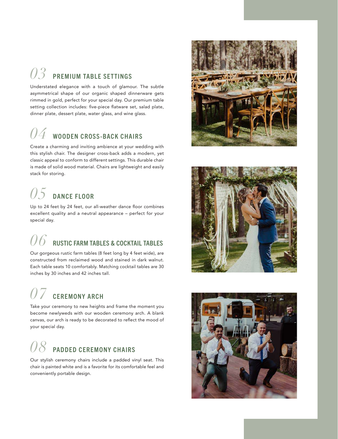## *03* PREMIUM TABLE SETTINGS

Understated elegance with a touch of glamour. The subtle asymmetrical shape of our organic shaped dinnerware gets rimmed in gold, perfect for your special day. Our premium table setting collection includes: five-piece flatware set, salad plate, dinner plate, dessert plate, water glass, and wine glass.

## $04$  wooden cross-back chairs

Create a charming and inviting ambience at your wedding with this stylish chair. The designer cross-back adds a modern, yet classic appeal to conform to different settings. This durable chair is made of solid wood material. Chairs are lightweight and easily stack for storing.

## $05$  dance Floor

Up to 24 feet by 24 feet, our all-weather dance floor combines excellent quality and a neutral appearance – perfect for your special day.

## $\mathscr{06}\,$  rustic farm tables & cocktail tables

Our gorgeous rustic farm tables (8 feet long by 4 feet wide), are constructed from reclaimed wood and stained in dark walnut. Each table seats 10 comfortably. Matching cocktail tables are 30 inches by 30 inches and 42 inches tall.

## $\emph{O}7\thinspace$  CEREMONY ARCH

Take your ceremony to new heights and frame the moment you become newlyweds with our wooden ceremony arch. A blank canvas, our arch is ready to be decorated to reflect the mood of your special day.

## *08* PADDED CEREMONY CHAIRS

Our stylish ceremony chairs include a padded vinyl seat. This chair is painted white and is a favorite for its comfortable feel and conveniently portable design.





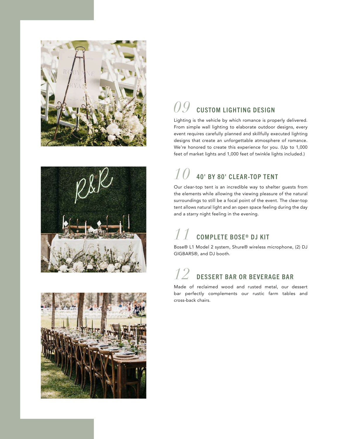





## $O9\,$  custom lighting design

Lighting is the vehicle by which romance is properly delivered. From simple wall lighting to elaborate outdoor designs, every event requires carefully planned and skillfully executed lighting designs that create an unforgettable atmosphere of romance. We're honored to create this experience for you. (Up to 1,000 feet of market lights and 1,000 feet of twinkle lights included.)

## *10* 40' BY 80' CLEAR-TOP TENT

Our clear-top tent is an incredible way to shelter guests from the elements while allowing the viewing pleasure of the natural surroundings to still be a focal point of the event. The clear-top tent allows natural light and an open space feeling during the day and a starry night feeling in the evening.

## *11* COMPLETE BOSE® DJ KIT

Bose® L1 Model 2 system, Shure® wireless microphone, (2) DJ GIGBARS®, and DJ booth.

## $12\,$  dessert bar or beverage bar

Made of reclaimed wood and rusted metal, our dessert bar perfectly complements our rustic farm tables and cross-back chairs.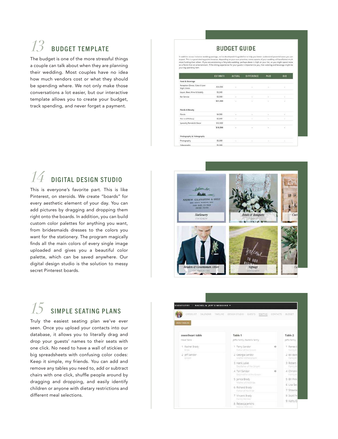## *13* BUDGET TEMPLATE

The budget is one of the more stressful things a couple can talk about when they are planning their wedding. Most couples have no idea how much vendors cost or what they should be spending where. We not only make those conversations a lot easier, but our interactive template allows you to create your budget, track spending, and never forget a payment.

#### **BUDGET GUIDE**

essenopod tina guraesine ta nelp you better unaerstand paramale casts you can<br>ling on your aim, provides, same aspects of your wedding will be allatted must<br>ry-tale wedding, perhaps decar is high on your list, so you might expect. This is a good starting point; I<br>more funding than others. If you are na a faire.

|                                              | <b>ESTIMATE</b> | <b>ACTUAL</b>            | DIFFERENCE | PAID | DUE |
|----------------------------------------------|-----------------|--------------------------|------------|------|-----|
| Food & Boverage                              |                 |                          |            |      |     |
| Reception Dinner, Cake & Late<br>Night Snock | \$14,000        | $\overline{\phantom{a}}$ | ۰          | ope  | ð.  |
| Liquor, Beer, Wine & Bubbly                  | \$1,500         |                          |            |      |     |
| Bar Service                                  | \$3,500         | ×                        | w.         | ÷    | ÷   |
|                                              | \$21,000        | a                        | s          | S    | s   |
| Florals & Beauty                             |                 |                          |            |      |     |
| Florals                                      | \$4,000         | g                        | ÷          | í.   | Ġ.  |
| Hair and Makeup                              | \$2,000         | ÷                        | 90         | ٠    | ¥.  |
| Specialty Rentals & Decor                    | \$12,500        |                          |            |      |     |
|                                              | \$18,500<br>--- | s                        | ź.         | 52   | V   |
| Photography & Videography                    |                 |                          |            |      |     |
| Photography                                  | \$5,000         |                          |            |      |     |
| Videography                                  | \$5,000         |                          |            |      |     |

### **DIGITAL DESIGN STUDIO**

This is everyone's favorite part. This is like Pinterest, on steroids. We create "boards" for every aesthetic element of your day. You can add pictures by dragging and dropping them right onto the boards. In addition, you can build custom color palettes for anything you want, from bridesmaids dresses to the colors you want for the stationery. The program magically finds all the main colors of every single image uploaded and gives you a beautiful color palette, which can be saved anywhere. Our digital design studio is the solution to messy secret Pinterest boards.



## **SIMPLE SEATING PLANS**

Truly the easiest seating plan we've ever seen. Once you upload your contacts into our database, it allows you to literally drag and drop your guests' names to their seats with one click. No need to have a wall of stickies or big spreadsheets with confusing color codes: Keep it simple, my friends. You can add and remove any tables you need to, add or subtract chairs with one click, shuffle people around by dragging and dropping, and easily identify children or anyone with dietary restrictions and different meal selections.

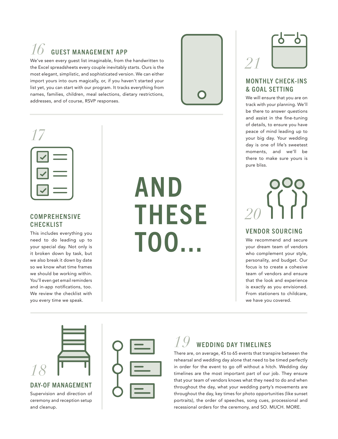## *GUEST MANAGEMENT APP*

We've seen every guest list imaginable, from the handwritten to the Excel spreadsheets every couple inevitably starts. Ours is the most elegant, simplistic, and sophisticated version. We can either import yours into ours magically, or, if you haven't started your list yet, you can start with our program. It tracks everything from names, families, children, meal selections, dietary restrictions, addresses, and of course, RSVP responses.



| $\sim$ |  |
|--------|--|
|        |  |
|        |  |
|        |  |

#### COMPREHENSIVE **CHECKLIST**

This includes everything you need to do leading up to your special day. Not only is it broken down by task, but we also break it down by date so we know what time frames we should be working within. You'll even get email reminders and in-app notifications, too. We review the checklist with you every time we speak.

## AND THESE TOO...



#### MONTHLY CHECK-INS & GOAL SETTING

We will ensure that you are on track with your planning. We'll be there to answer questions and assist in the fine-tuning of details, to ensure you have peace of mind leading up to your big day. Your wedding day is one of life's sweetest moments, and we'll be there to make sure yours is pure bliss.

## *20*

#### VENDOR SOURCING

We recommend and secure your dream team of vendors who complement your style, personality, and budget. Our focus is to create a cohesive team of vendors and ensure that the look and experience is exactly as you envisioned. From stationers to childcare, we have you covered.



#### DAY-OF MANAGEMENT

Supervision and direction of ceremony and reception setup and cleanup.



### WEDDING DAY TIMELINES

There are, on average, 45 to 65 events that transpire between the rehearsal and wedding day alone that need to be timed perfectly in order for the event to go off without a hitch. Wedding day timelines are the most important part of our job. They ensure that your team of vendors knows what they need to do and when throughout the day, what your wedding party's movements are throughout the day, key times for photo opportunities (like sunset portraits), the order of speeches, song cues, processional and recessional orders for the ceremony, and SO. MUCH. MORE.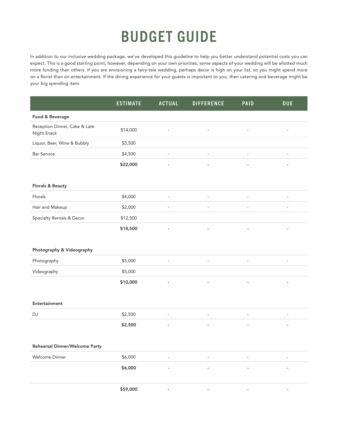## BUDGET GUIDE

In addition to our inclusive wedding package, we've developed this guideline to help you better understand potential costs you can expect. This is a good starting point; however, depending on your own priorities, some aspects of your wedding will be allotted much more funding than others. If you are envisioning a fairy-tale wedding, perhaps decor is high on your list, so you might spend more on a florist than on entertainment. If the dining experience for your guests is important to you, then catering and beverage might be your big spending item.

|                                              | <b>ESTIMATE</b> | <b>ACTUAL</b>            | <b>DIFFERENCE</b>        | <b>PAID</b>    | <b>DUE</b>               |
|----------------------------------------------|-----------------|--------------------------|--------------------------|----------------|--------------------------|
| Food & Beverage                              |                 |                          |                          |                |                          |
| Reception Dinner, Cake & Late<br>Night Snack | \$14,000        |                          |                          |                |                          |
| Liquor, Beer, Wine & Bubbly                  | \$3,500         |                          |                          |                |                          |
| <b>Bar Service</b>                           | \$4,500         | ä,                       | $\sim$                   | ä,             | $\overline{\phantom{a}}$ |
|                                              | \$22,000        |                          |                          |                |                          |
|                                              |                 |                          |                          |                |                          |
| Florals & Beauty                             |                 |                          |                          |                |                          |
| Florals                                      | \$4,000         |                          |                          | ä,             | ä,                       |
| Hair and Makeup                              | \$2,000         |                          |                          |                | $\overline{\phantom{m}}$ |
| <b>Specialty Rentals &amp; Decor</b>         | \$12,500        |                          |                          |                |                          |
|                                              | \$18,500        |                          |                          |                |                          |
|                                              |                 |                          |                          |                |                          |
| Photography & Videography                    |                 |                          |                          |                |                          |
| Photography                                  | \$5,000         | $\blacksquare$           | $\blacksquare$           | $\blacksquare$ | $\overline{\phantom{a}}$ |
| Videography                                  | \$5,000         |                          |                          |                |                          |
|                                              | \$10,000        |                          |                          |                |                          |
|                                              |                 |                          |                          |                |                          |
| Entertainment                                |                 |                          |                          |                |                          |
| DJ                                           | \$2,500         | $\overline{\phantom{a}}$ | $\overline{\phantom{a}}$ | ÷,             | $\overline{\phantom{a}}$ |
|                                              | \$2,500         | ÷                        |                          | ÷              | $\overline{\phantom{0}}$ |
|                                              |                 |                          |                          |                |                          |
| Rehearsal Dinner/Welcome Party               |                 |                          |                          |                |                          |
| Welcome Dinner                               | \$6,000         |                          |                          | ÷,             | $\overline{\phantom{a}}$ |
|                                              | \$6,000         |                          |                          |                |                          |
|                                              |                 |                          |                          |                |                          |
|                                              | \$59,000        |                          |                          |                |                          |